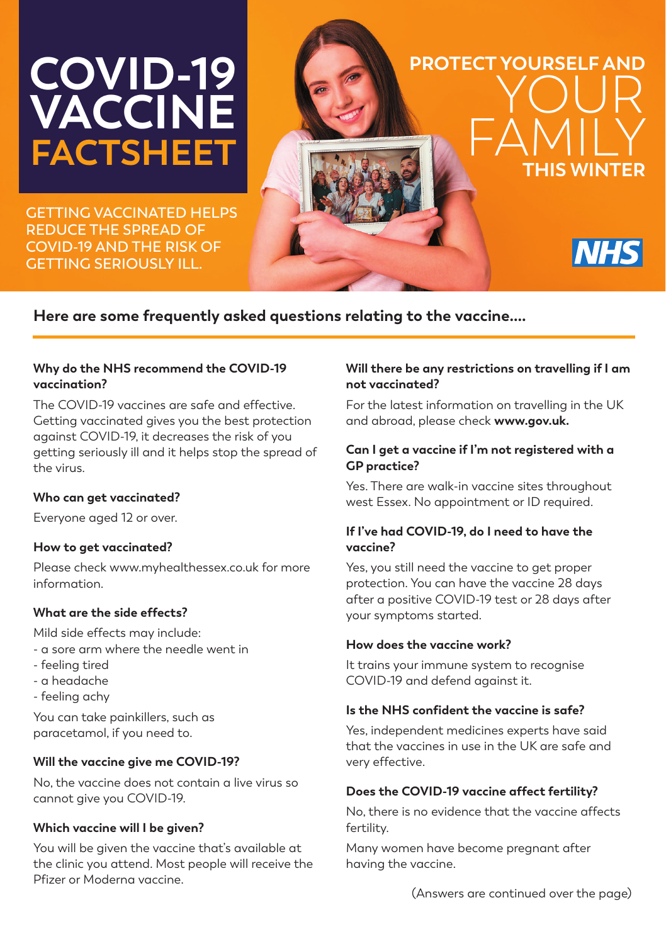# **COVID-19 VACCINE FACTSHEET**

**GETTING VACCINATED HELPS REDUCE THE SPREAD OF COVID-19 AND THE RISK OF GETTING SERIOUSLY ILL.** 

# **PROTECT YOURSELF AND** YOUR FAMILY **THIS WINTER NHS**

# **Here are some frequently asked questions relating to the vaccine....**

## **Why do the NHS recommend the COVID-19 vaccination?**

The COVID-19 vaccines are safe and effective. Getting vaccinated gives you the best protection against COVID-19, it decreases the risk of you getting seriously ill and it helps stop the spread of the virus.

# **Who can get vaccinated?**

Everyone aged 12 or over.

# **How to get vaccinated?**

Please check www.myhealthessex.co.uk for more information.

# **What are the side effects?**

Mild side effects may include:

- a sore arm where the needle went in
- feeling tired
- a headache
- feeling achy

You can take painkillers, such as paracetamol, if you need to.

# **Will the vaccine give me COVID-19?**

No, the vaccine does not contain a live virus so cannot give you COVID-19.

# **Which vaccine will I be given?**

You will be given the vaccine that's available at the clinic you attend. Most people will receive the Pfizer or Moderna vaccine.

#### **Will there be any restrictions on travelling if I am not vaccinated?**

For the latest information on travelling in the UK and abroad, please check **www.gov.uk.**

### **Can I get a vaccine if I'm not registered with a GP practice?**

Yes. There are walk-in vaccine sites throughout west Essex. No appointment or ID required.

### **If I've had COVID-19, do I need to have the vaccine?**

Yes, you still need the vaccine to get proper protection. You can have the vaccine 28 days after a positive COVID-19 test or 28 days after your symptoms started.

# **How does the vaccine work?**

It trains your immune system to recognise COVID-19 and defend against it.

# **Is the NHS confident the vaccine is safe?**

Yes, independent medicines experts have said that the vaccines in use in the UK are safe and very effective.

# **Does the COVID-19 vaccine affect fertility?**

No, there is no evidence that the vaccine affects fertility.

Many women have become pregnant after having the vaccine.